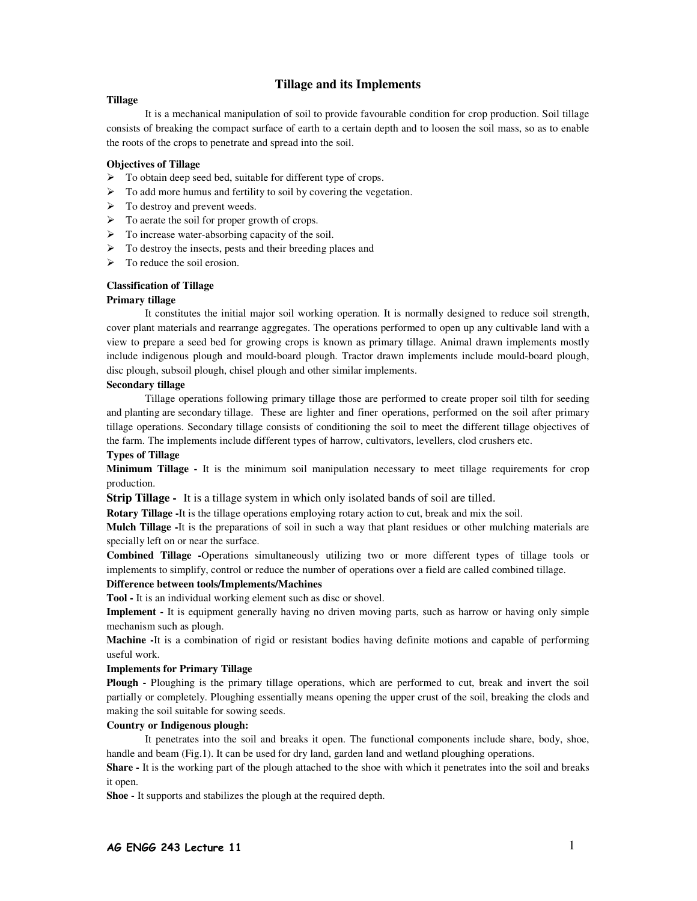# **Tillage and its Implements**

### **Tillage**

It is a mechanical manipulation of soil to provide favourable condition for crop production. Soil tillage consists of breaking the compact surface of earth to a certain depth and to loosen the soil mass, so as to enable the roots of the crops to penetrate and spread into the soil.

# **Objectives of Tillage**

- $\triangleright$  To obtain deep seed bed, suitable for different type of crops.
- $\triangleright$  To add more humus and fertility to soil by covering the vegetation.
- $\triangleright$  To destroy and prevent weeds.
- $\triangleright$  To aerate the soil for proper growth of crops.
- $\triangleright$  To increase water-absorbing capacity of the soil.
- $\triangleright$  To destroy the insects, pests and their breeding places and
- $\triangleright$  To reduce the soil erosion.

## **Classification of Tillage**

### **Primary tillage**

It constitutes the initial major soil working operation. It is normally designed to reduce soil strength, cover plant materials and rearrange aggregates. The operations performed to open up any cultivable land with a view to prepare a seed bed for growing crops is known as primary tillage. Animal drawn implements mostly include indigenous plough and mould-board plough. Tractor drawn implements include mould-board plough, disc plough, subsoil plough, chisel plough and other similar implements.

### **Secondary tillage**

Tillage operations following primary tillage those are performed to create proper soil tilth for seeding and planting are secondary tillage. These are lighter and finer operations, performed on the soil after primary tillage operations. Secondary tillage consists of conditioning the soil to meet the different tillage objectives of the farm. The implements include different types of harrow, cultivators, levellers, clod crushers etc.

### **Types of Tillage**

**Minimum Tillage -** It is the minimum soil manipulation necessary to meet tillage requirements for crop production.

**Strip Tillage -** It is a tillage system in which only isolated bands of soil are tilled.

**Rotary Tillage -**It is the tillage operations employing rotary action to cut, break and mix the soil.

**Mulch Tillage -**It is the preparations of soil in such a way that plant residues or other mulching materials are specially left on or near the surface.

**Combined Tillage -**Operations simultaneously utilizing two or more different types of tillage tools or implements to simplify, control or reduce the number of operations over a field are called combined tillage.

## **Difference between tools/Implements/Machines**

**Tool -** It is an individual working element such as disc or shovel.

**Implement -** It is equipment generally having no driven moving parts, such as harrow or having only simple mechanism such as plough.

**Machine -**It is a combination of rigid or resistant bodies having definite motions and capable of performing useful work.

### **Implements for Primary Tillage**

**Plough -** Ploughing is the primary tillage operations, which are performed to cut, break and invert the soil partially or completely. Ploughing essentially means opening the upper crust of the soil, breaking the clods and making the soil suitable for sowing seeds.

## **Country or Indigenous plough:**

 It penetrates into the soil and breaks it open. The functional components include share, body, shoe, handle and beam (Fig.1). It can be used for dry land, garden land and wetland ploughing operations.

**Share -** It is the working part of the plough attached to the shoe with which it penetrates into the soil and breaks it open.

**Shoe -** It supports and stabilizes the plough at the required depth.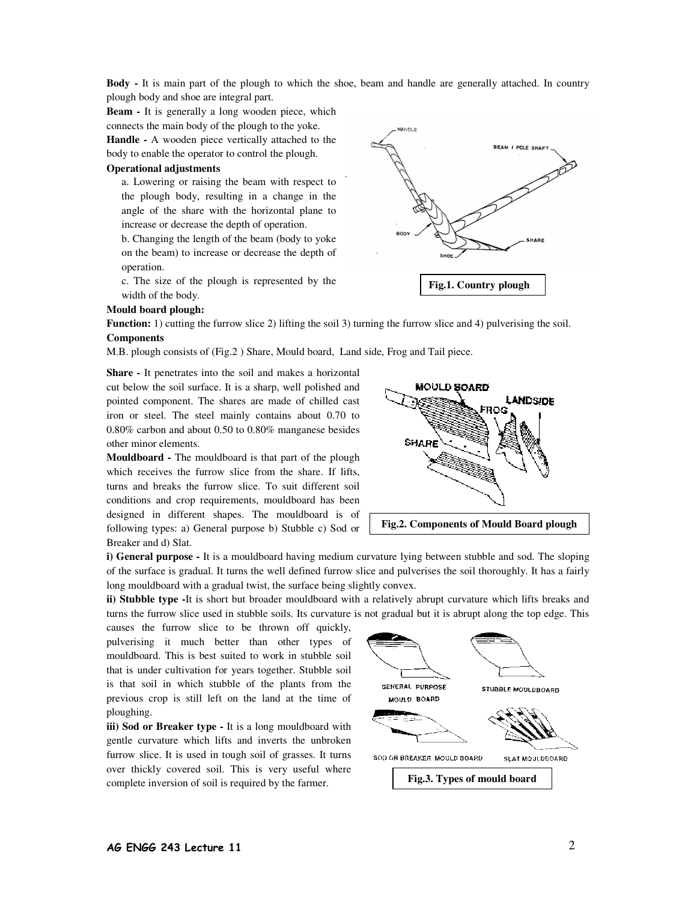**Body -** It is main part of the plough to which the shoe, beam and handle are generally attached. In country plough body and shoe are integral part.

**Beam -** It is generally a long wooden piece, which connects the main body of the plough to the yoke.

**Handle -** A wooden piece vertically attached to the body to enable the operator to control the plough.

## **Operational adjustments**

a. Lowering or raising the beam with respect to the plough body, resulting in a change in the angle of the share with the horizontal plane to increase or decrease the depth of operation.

 b. Changing the length of the beam (body to yoke on the beam) to increase or decrease the depth of operation.

c. The size of the plough is represented by the width of the body.



#### **Mould board plough:**

**Function:** 1) cutting the furrow slice 2) lifting the soil 3) turning the furrow slice and 4) pulverising the soil. **Components** 

M.B. plough consists of (Fig.2 ) Share, Mould board, Land side, Frog and Tail piece.

**Share -** It penetrates into the soil and makes a horizontal cut below the soil surface. It is a sharp, well polished and pointed component. The shares are made of chilled cast iron or steel. The steel mainly contains about 0.70 to 0.80% carbon and about 0.50 to 0.80% manganese besides other minor elements.

**Mouldboard -** The mouldboard is that part of the plough which receives the furrow slice from the share. If lifts, turns and breaks the furrow slice. To suit different soil conditions and crop requirements, mouldboard has been designed in different shapes. The mouldboard is of following types: a) General purpose b) Stubble c) Sod or Breaker and d) Slat.



**i) General purpose -** It is a mouldboard having medium curvature lying between stubble and sod. The sloping of the surface is gradual. It turns the well defined furrow slice and pulverises the soil thoroughly. It has a fairly long mouldboard with a gradual twist, the surface being slightly convex.

**ii) Stubble type -**It is short but broader mouldboard with a relatively abrupt curvature which lifts breaks and turns the furrow slice used in stubble soils. Its curvature is not gradual but it is abrupt along the top edge. This

causes the furrow slice to be thrown off quickly, pulverising it much better than other types of mouldboard. This is best suited to work in stubble soil that is under cultivation for years together. Stubble soil is that soil in which stubble of the plants from the previous crop is still left on the land at the time of ploughing.

**iii) Sod or Breaker type -** It is a long mouldboard with gentle curvature which lifts and inverts the unbroken furrow slice. It is used in tough soil of grasses. It turns over thickly covered soil. This is very useful where complete inversion of soil is required by the farmer.

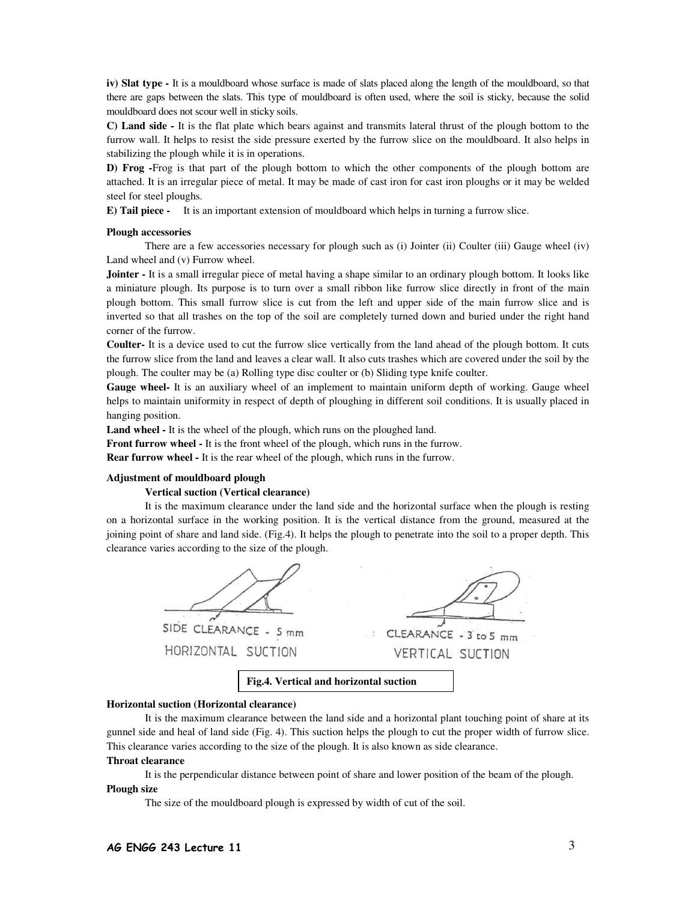**iv) Slat type -** It is a mouldboard whose surface is made of slats placed along the length of the mouldboard, so that there are gaps between the slats. This type of mouldboard is often used, where the soil is sticky, because the solid mouldboard does not scour well in sticky soils.

**C) Land side -** It is the flat plate which bears against and transmits lateral thrust of the plough bottom to the furrow wall. It helps to resist the side pressure exerted by the furrow slice on the mouldboard. It also helps in stabilizing the plough while it is in operations.

**D) Frog -**Frog is that part of the plough bottom to which the other components of the plough bottom are attached. It is an irregular piece of metal. It may be made of cast iron for cast iron ploughs or it may be welded steel for steel ploughs.

**E) Tail piece -** It is an important extension of mouldboard which helps in turning a furrow slice.

### **Plough accessories**

There are a few accessories necessary for plough such as (i) Jointer (ii) Coulter (iii) Gauge wheel (iv) Land wheel and (v) Furrow wheel.

**Jointer -** It is a small irregular piece of metal having a shape similar to an ordinary plough bottom. It looks like a miniature plough. Its purpose is to turn over a small ribbon like furrow slice directly in front of the main plough bottom. This small furrow slice is cut from the left and upper side of the main furrow slice and is inverted so that all trashes on the top of the soil are completely turned down and buried under the right hand corner of the furrow.

**Coulter-** It is a device used to cut the furrow slice vertically from the land ahead of the plough bottom. It cuts the furrow slice from the land and leaves a clear wall. It also cuts trashes which are covered under the soil by the plough. The coulter may be (a) Rolling type disc coulter or (b) Sliding type knife coulter.

**Gauge wheel-** It is an auxiliary wheel of an implement to maintain uniform depth of working. Gauge wheel helps to maintain uniformity in respect of depth of ploughing in different soil conditions. It is usually placed in hanging position.

Land wheel - It is the wheel of the plough, which runs on the ploughed land.

**Front furrow wheel -** It is the front wheel of the plough, which runs in the furrow.

**Rear furrow wheel -** It is the rear wheel of the plough, which runs in the furrow.

## **Adjustment of mouldboard plough**

#### **Vertical suction (Vertical clearance)**

It is the maximum clearance under the land side and the horizontal surface when the plough is resting on a horizontal surface in the working position. It is the vertical distance from the ground, measured at the joining point of share and land side. (Fig.4). It helps the plough to penetrate into the soil to a proper depth. This clearance varies according to the size of the plough.



### **Fig.4. Vertical and horizontal suction**

### **Horizontal suction (Horizontal clearance)**

It is the maximum clearance between the land side and a horizontal plant touching point of share at its gunnel side and heal of land side (Fig. 4). This suction helps the plough to cut the proper width of furrow slice. This clearance varies according to the size of the plough. It is also known as side clearance.

#### **Throat clearance**

It is the perpendicular distance between point of share and lower position of the beam of the plough. **Plough size** 

The size of the mouldboard plough is expressed by width of cut of the soil.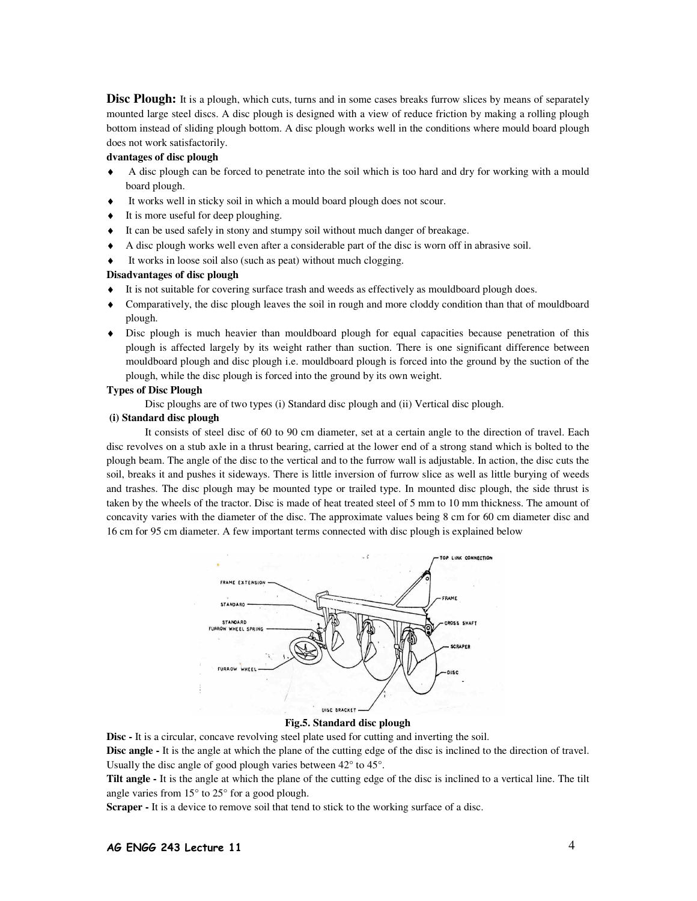**Disc Plough:** It is a plough, which cuts, turns and in some cases breaks furrow slices by means of separately mounted large steel discs. A disc plough is designed with a view of reduce friction by making a rolling plough bottom instead of sliding plough bottom. A disc plough works well in the conditions where mould board plough does not work satisfactorily.

## **dvantages of disc plough**

- ♦ A disc plough can be forced to penetrate into the soil which is too hard and dry for working with a mould board plough.
- It works well in sticky soil in which a mould board plough does not scour.
- It is more useful for deep ploughing.
- It can be used safely in stony and stumpy soil without much danger of breakage.
- ♦ A disc plough works well even after a considerable part of the disc is worn off in abrasive soil.
- It works in loose soil also (such as peat) without much clogging.

# **Disadvantages of disc plough**

- It is not suitable for covering surface trash and weeds as effectively as mouldboard plough does.
- ♦ Comparatively, the disc plough leaves the soil in rough and more cloddy condition than that of mouldboard plough.
- ♦ Disc plough is much heavier than mouldboard plough for equal capacities because penetration of this plough is affected largely by its weight rather than suction. There is one significant difference between mouldboard plough and disc plough i.e. mouldboard plough is forced into the ground by the suction of the plough, while the disc plough is forced into the ground by its own weight.

# **Types of Disc Plough**

Disc ploughs are of two types (i) Standard disc plough and (ii) Vertical disc plough.

# **(i) Standard disc plough**

It consists of steel disc of 60 to 90 cm diameter, set at a certain angle to the direction of travel. Each disc revolves on a stub axle in a thrust bearing, carried at the lower end of a strong stand which is bolted to the plough beam. The angle of the disc to the vertical and to the furrow wall is adjustable. In action, the disc cuts the soil, breaks it and pushes it sideways. There is little inversion of furrow slice as well as little burying of weeds and trashes. The disc plough may be mounted type or trailed type. In mounted disc plough, the side thrust is taken by the wheels of the tractor. Disc is made of heat treated steel of 5 mm to 10 mm thickness. The amount of concavity varies with the diameter of the disc. The approximate values being 8 cm for 60 cm diameter disc and 16 cm for 95 cm diameter. A few important terms connected with disc plough is explained below



## **Fig.5. Standard disc plough**

**Disc -** It is a circular, concave revolving steel plate used for cutting and inverting the soil.

**Disc angle -** It is the angle at which the plane of the cutting edge of the disc is inclined to the direction of travel. Usually the disc angle of good plough varies between 42° to 45°.

**Tilt angle -** It is the angle at which the plane of the cutting edge of the disc is inclined to a vertical line. The tilt angle varies from 15° to 25° for a good plough.

Scraper - It is a device to remove soil that tend to stick to the working surface of a disc.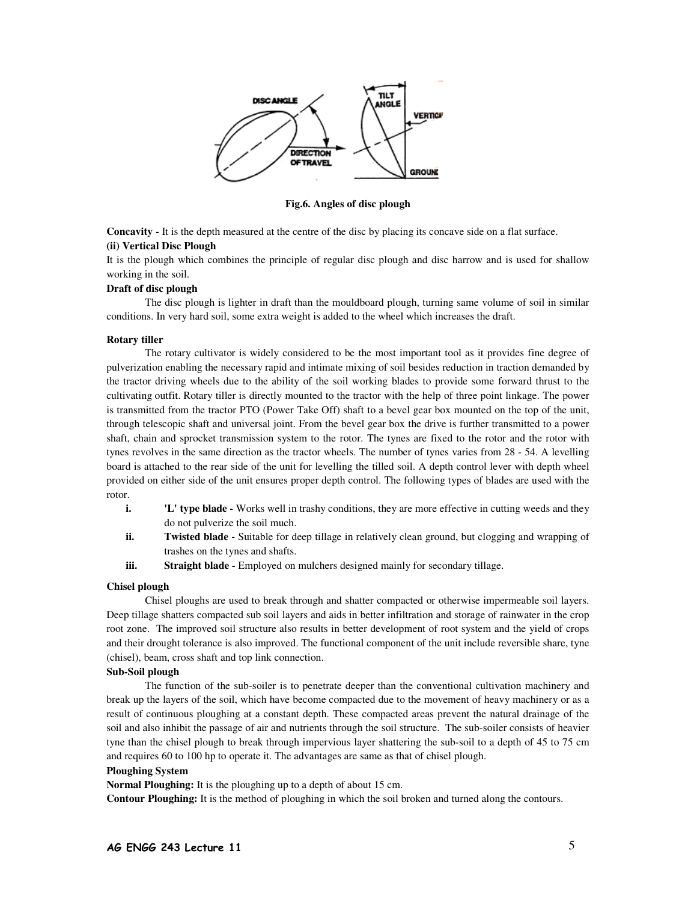

**Fig.6. Angles of disc plough** 

**Concavity -** It is the depth measured at the centre of the disc by placing its concave side on a flat surface. **(ii) Vertical Disc Plough** 

It is the plough which combines the principle of regular disc plough and disc harrow and is used for shallow working in the soil.

## **Draft of disc plough**

The disc plough is lighter in draft than the mouldboard plough, turning same volume of soil in similar conditions. In very hard soil, some extra weight is added to the wheel which increases the draft.

#### **Rotary tiller**

 The rotary cultivator is widely considered to be the most important tool as it provides fine degree of pulverization enabling the necessary rapid and intimate mixing of soil besides reduction in traction demanded by the tractor driving wheels due to the ability of the soil working blades to provide some forward thrust to the cultivating outfit. Rotary tiller is directly mounted to the tractor with the help of three point linkage. The power is transmitted from the tractor PTO (Power Take Off) shaft to a bevel gear box mounted on the top of the unit, through telescopic shaft and universal joint. From the bevel gear box the drive is further transmitted to a power shaft, chain and sprocket transmission system to the rotor. The tynes are fixed to the rotor and the rotor with tynes revolves in the same direction as the tractor wheels. The number of tynes varies from 28 - 54. A levelling board is attached to the rear side of the unit for levelling the tilled soil. A depth control lever with depth wheel provided on either side of the unit ensures proper depth control. The following types of blades are used with the rotor.

- **i. 'L' type blade -** Works well in trashy conditions, they are more effective in cutting weeds and they do not pulverize the soil much.
- **ii. Twisted blade -** Suitable for deep tillage in relatively clean ground, but clogging and wrapping of trashes on the tynes and shafts.
- **iii. Straight blade -** Employed on mulchers designed mainly for secondary tillage.

### **Chisel plough**

 Chisel ploughs are used to break through and shatter compacted or otherwise impermeable soil layers. Deep tillage shatters compacted sub soil layers and aids in better infiltration and storage of rainwater in the crop root zone. The improved soil structure also results in better development of root system and the yield of crops and their drought tolerance is also improved. The functional component of the unit include reversible share, tyne (chisel), beam, cross shaft and top link connection.

## **Sub-Soil plough**

The function of the sub-soiler is to penetrate deeper than the conventional cultivation machinery and break up the layers of the soil, which have become compacted due to the movement of heavy machinery or as a result of continuous ploughing at a constant depth. These compacted areas prevent the natural drainage of the soil and also inhibit the passage of air and nutrients through the soil structure. The sub-soiler consists of heavier tyne than the chisel plough to break through impervious layer shattering the sub-soil to a depth of 45 to 75 cm and requires 60 to 100 hp to operate it. The advantages are same as that of chisel plough.

## **Ploughing System**

**Normal Ploughing:** It is the ploughing up to a depth of about 15 cm.

**Contour Ploughing:** It is the method of ploughing in which the soil broken and turned along the contours.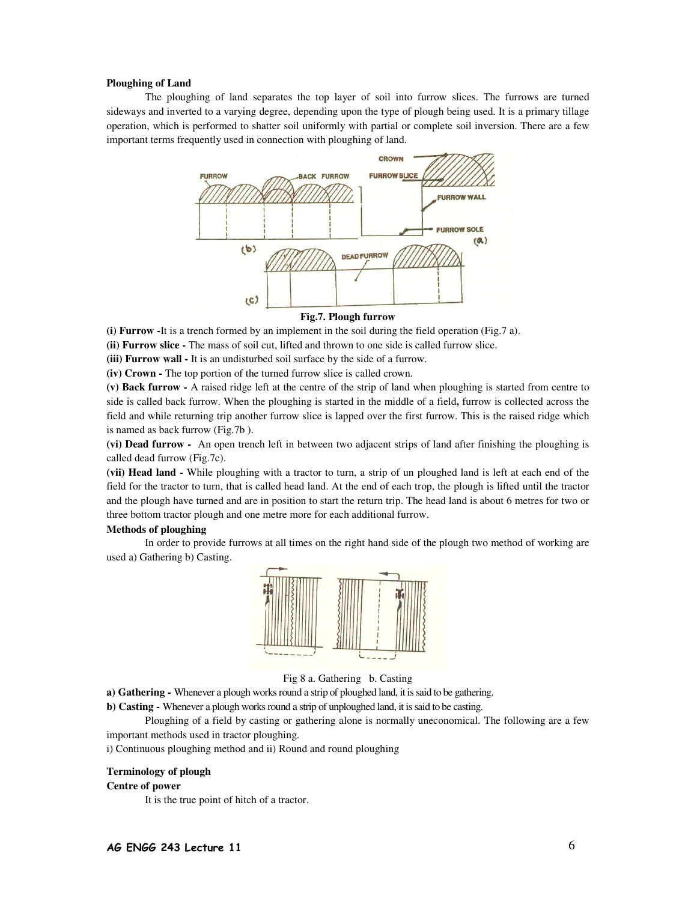#### **Ploughing of Land**

The ploughing of land separates the top layer of soil into furrow slices. The furrows are turned sideways and inverted to a varying degree, depending upon the type of plough being used. It is a primary tillage operation, which is performed to shatter soil uniformly with partial or complete soil inversion. There are a few important terms frequently used in connection with ploughing of land.



#### **Fig.7. Plough furrow**

**(i) Furrow -**It is a trench formed by an implement in the soil during the field operation (Fig.7 a).

**(ii) Furrow slice -** The mass of soil cut, lifted and thrown to one side is called furrow slice.

**(iii) Furrow wall -** It is an undisturbed soil surface by the side of a furrow.

**(iv) Crown -** The top portion of the turned furrow slice is called crown.

**(v) Back furrow -** A raised ridge left at the centre of the strip of land when ploughing is started from centre to side is called back furrow. When the ploughing is started in the middle of a field**,** furrow is collected across the field and while returning trip another furrow slice is lapped over the first furrow. This is the raised ridge which is named as back furrow (Fig.7b ).

**(vi) Dead furrow -** An open trench left in between two adjacent strips of land after finishing the ploughing is called dead furrow (Fig.7c).

**(vii) Head land -** While ploughing with a tractor to turn, a strip of un ploughed land is left at each end of the field for the tractor to turn, that is called head land. At the end of each trop, the plough is lifted until the tractor and the plough have turned and are in position to start the return trip. The head land is about 6 metres for two or three bottom tractor plough and one metre more for each additional furrow.

#### **Methods of ploughing**

In order to provide furrows at all times on the right hand side of the plough two method of working are used a) Gathering b) Casting.



Fig 8 a. Gathering b. Casting

**a) Gathering -** Whenever a plough works round a strip of ploughed land, it is said to be gathering.

**b) Casting -** Whenever a plough works round a strip of unploughed land, it is said to be casting.

 Ploughing of a field by casting or gathering alone is normally uneconomical. The following are a few important methods used in tractor ploughing.

i) Continuous ploughing method and ii) Round and round ploughing

### **Terminology of plough**

### **Centre of power**

It is the true point of hitch of a tractor.